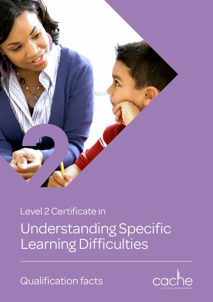

# Understanding Specific Learning Difficulties Level 2 Certificate in

Qualification facts

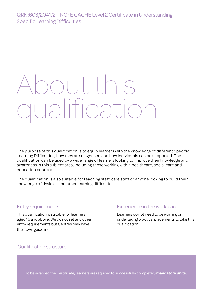# out this qualification

The purpose of this qualification is to equip learners with the knowledge of different Specific Learning Difficulties, how they are diagnosed and how individuals can be supported. The qualification can be used by a wide range of learners looking to improve their knowledge and awareness in this subject area, including those working within healthcare, social care and education contexts.

The qualification is also suitable for teaching staff, care staff or anyone looking to build their knowledge of dyslexia and other learning difficulties.

## Entry requirements

This qualification is suitable for learners aged 16 and above. We do not set any other entry requirements but Centres may have their own guidelines

# Experience in the workplace

Learners do not need to be working or undertaking practical placements to take this qualification.

# Qualification structure

To be awarded the Certificate, learners are required to successfully complete **5 mandatory units.**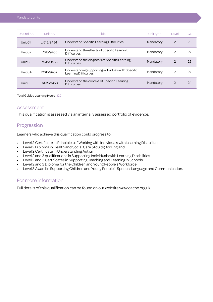| Unit ref no. | Unit no.   | Title                                                                       | Unit type | Level | GL |
|--------------|------------|-----------------------------------------------------------------------------|-----------|-------|----|
| Unit 01      | J/615/9454 | Understand Specific Learning Difficulties                                   | Mandatory | 2     | 26 |
| Unit 02      | L/615/9455 | Understand the effects of Specific Learning<br><b>Difficulties</b>          | Mandatory | 2     | 27 |
| Unit 03      | R/615/9456 | Understand the diagnosis of Specific Learning<br><b>Difficulties</b>        | Mandatory | 2     | 25 |
| Unit 04      | Y/615/9457 | Understanding supporting individuals with Specific<br>Learning Difficulties | Mandatory | 2     | 27 |
| Unit 05      | D/615/9458 | Understand the context of Specific Learning<br><b>Difficulties</b>          | Mandatory | 2     | 24 |

Total Guided Learning Hours: 129

#### Assessment

This qualification is assessed via an internally assessed portfolio of evidence.

## Progression

Learners who achieve this qualification could progress to:

- Level 2 Certificate in Principles of Working with Individuals with Learning Disabilities
- Level 2 Diploma in Health and Social Care (Adults) for England
- Level 2 Certificate in Understanding Autism
- Level 2 and 3 qualifications in Supporting Individuals with Learning Disabilities
- Level 2 and 3 Certificates in Supporting Teaching and Learning in Schools
- Level 2 and 3 Diploma for the Children and Young People's Workforce
- Level 3 Award in Supporting Children and Young People's Speech, Language and Communication.

## For more information

Full details of this qualification can be found on our website www.cache.org.uk.